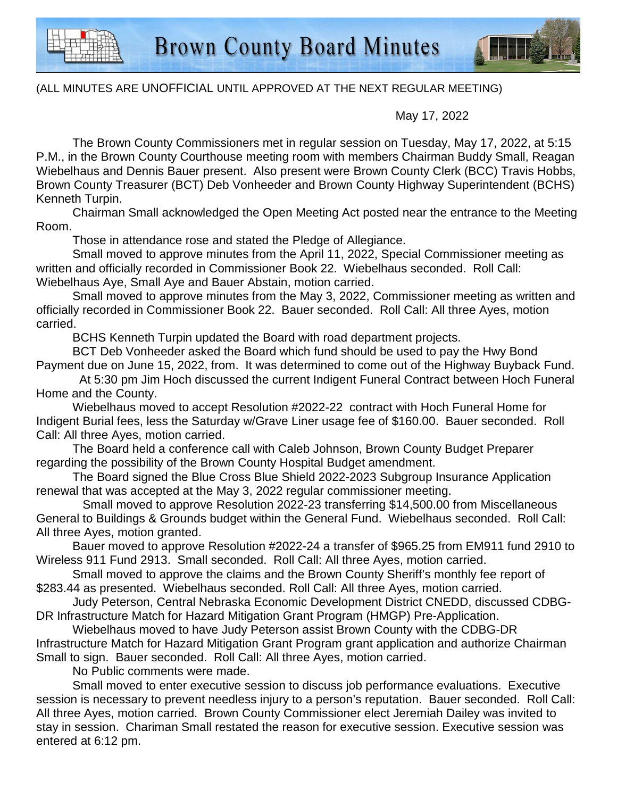

## (ALL MINUTES ARE UNOFFICIAL UNTIL APPROVED AT THE NEXT REGULAR MEETING)

May 17, 2022

The Brown County Commissioners met in regular session on Tuesday, May 17, 2022, at 5:15 P.M., in the Brown County Courthouse meeting room with members Chairman Buddy Small, Reagan Wiebelhaus and Dennis Bauer present. Also present were Brown County Clerk (BCC) Travis Hobbs, Brown County Treasurer (BCT) Deb Vonheeder and Brown County Highway Superintendent (BCHS) Kenneth Turpin.

Chairman Small acknowledged the Open Meeting Act posted near the entrance to the Meeting Room.

Those in attendance rose and stated the Pledge of Allegiance.

Small moved to approve minutes from the April 11, 2022, Special Commissioner meeting as written and officially recorded in Commissioner Book 22. Wiebelhaus seconded. Roll Call: Wiebelhaus Aye, Small Aye and Bauer Abstain, motion carried.

Small moved to approve minutes from the May 3, 2022, Commissioner meeting as written and officially recorded in Commissioner Book 22. Bauer seconded. Roll Call: All three Ayes, motion carried.

BCHS Kenneth Turpin updated the Board with road department projects.

BCT Deb Vonheeder asked the Board which fund should be used to pay the Hwy Bond Payment due on June 15, 2022, from. It was determined to come out of the Highway Buyback Fund.

 At 5:30 pm Jim Hoch discussed the current Indigent Funeral Contract between Hoch Funeral Home and the County.

Wiebelhaus moved to accept Resolution #2022-22 contract with Hoch Funeral Home for Indigent Burial fees, less the Saturday w/Grave Liner usage fee of \$160.00. Bauer seconded. Roll Call: All three Ayes, motion carried.

The Board held a conference call with Caleb Johnson, Brown County Budget Preparer regarding the possibility of the Brown County Hospital Budget amendment.

The Board signed the Blue Cross Blue Shield 2022-2023 Subgroup Insurance Application renewal that was accepted at the May 3, 2022 regular commissioner meeting.

 Small moved to approve Resolution 2022-23 transferring \$14,500.00 from Miscellaneous General to Buildings & Grounds budget within the General Fund. Wiebelhaus seconded. Roll Call: All three Ayes, motion granted.

Bauer moved to approve Resolution #2022-24 a transfer of \$965.25 from EM911 fund 2910 to Wireless 911 Fund 2913. Small seconded. Roll Call: All three Ayes, motion carried.

Small moved to approve the claims and the Brown County Sheriff's monthly fee report of \$283.44 as presented. Wiebelhaus seconded. Roll Call: All three Ayes, motion carried.

Judy Peterson, Central Nebraska Economic Development District CNEDD, discussed CDBG-DR Infrastructure Match for Hazard Mitigation Grant Program (HMGP) Pre-Application.

Wiebelhaus moved to have Judy Peterson assist Brown County with the CDBG-DR Infrastructure Match for Hazard Mitigation Grant Program grant application and authorize Chairman Small to sign. Bauer seconded. Roll Call: All three Ayes, motion carried.

No Public comments were made.

Small moved to enter executive session to discuss job performance evaluations. Executive session is necessary to prevent needless injury to a person's reputation. Bauer seconded. Roll Call: All three Ayes, motion carried. Brown County Commissioner elect Jeremiah Dailey was invited to stay in session. Chariman Small restated the reason for executive session. Executive session was entered at 6:12 pm.